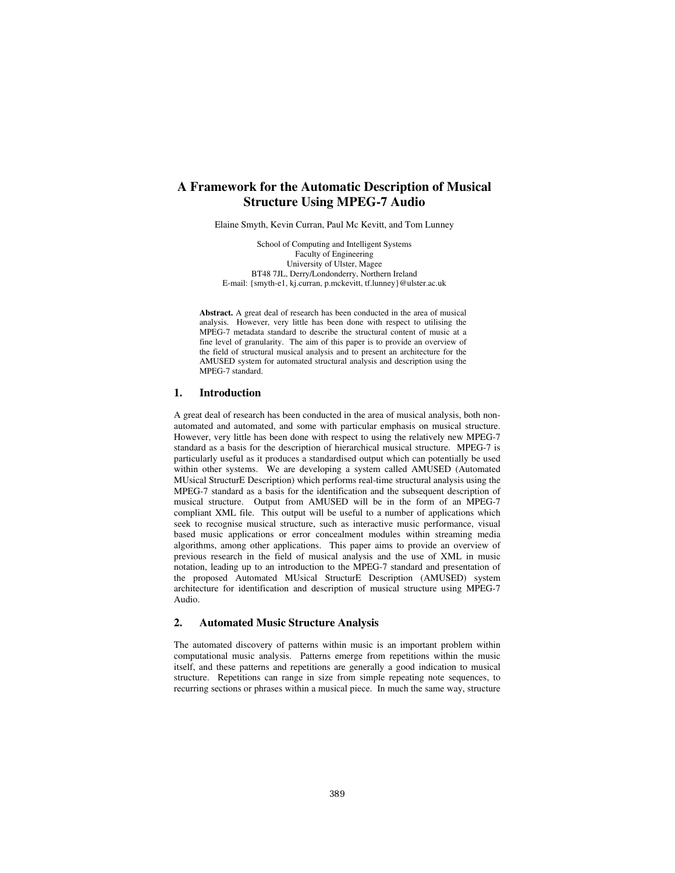# **A Framework for the Automatic Description of Musical Structure Using MPEG-7 Audio**

Elaine Smyth, Kevin Curran, Paul Mc Kevitt, and Tom Lunney

School of Computing and Intelligent Systems Faculty of Engineering University of Ulster, Magee BT48 7JL, Derry/Londonderry, Northern Ireland E-mail: {smyth-e1, kj.curran, p.mckevitt, tf.lunney}@ulster.ac.uk

**Abstract.** A great deal of research has been conducted in the area of musical analysis. However, very little has been done with respect to utilising the MPEG-7 metadata standard to describe the structural content of music at a fine level of granularity. The aim of this paper is to provide an overview of the field of structural musical analysis and to present an architecture for the AMUSED system for automated structural analysis and description using the MPEG-7 standard.

### **1. Introduction**

A great deal of research has been conducted in the area of musical analysis, both nonautomated and automated, and some with particular emphasis on musical structure. However, very little has been done with respect to using the relatively new MPEG-7 standard as a basis for the description of hierarchical musical structure. MPEG-7 is particularly useful as it produces a standardised output which can potentially be used within other systems. We are developing a system called AMUSED (Automated MUsical StructurE Description) which performs real-time structural analysis using the MPEG-7 standard as a basis for the identification and the subsequent description of musical structure. Output from AMUSED will be in the form of an MPEG-7 compliant XML file. This output will be useful to a number of applications which seek to recognise musical structure, such as interactive music performance, visual based music applications or error concealment modules within streaming media algorithms, among other applications. This paper aims to provide an overview of previous research in the field of musical analysis and the use of XML in music notation, leading up to an introduction to the MPEG-7 standard and presentation of the proposed Automated MUsical StructurE Description (AMUSED) system architecture for identification and description of musical structure using MPEG-7 Audio.

### **2. Automated Music Structure Analysis**

The automated discovery of patterns within music is an important problem within computational music analysis. Patterns emerge from repetitions within the music itself, and these patterns and repetitions are generally a good indication to musical structure. Repetitions can range in size from simple repeating note sequences, to recurring sections or phrases within a musical piece. In much the same way, structure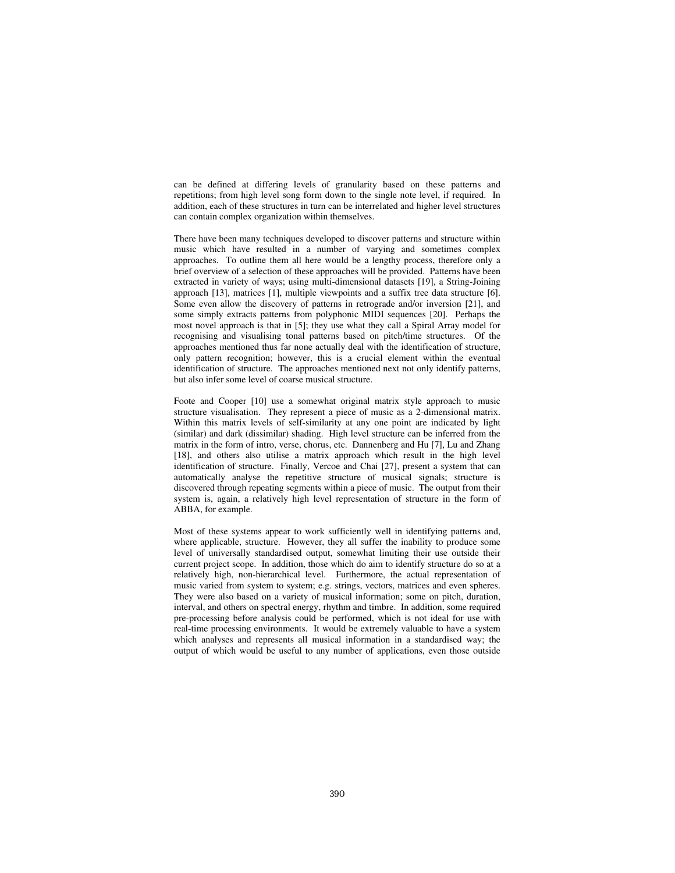can be defined at differing levels of granularity based on these patterns and repetitions; from high level song form down to the single note level, if required. In addition, each of these structures in turn can be interrelated and higher level structures can contain complex organization within themselves.

There have been many techniques developed to discover patterns and structure within music which have resulted in a number of varying and sometimes complex approaches. To outline them all here would be a lengthy process, therefore only a brief overview of a selection of these approaches will be provided. Patterns have been extracted in variety of ways; using multi-dimensional datasets [19], a String-Joining approach [13], matrices [1], multiple viewpoints and a suffix tree data structure [6]. Some even allow the discovery of patterns in retrograde and/or inversion [21], and some simply extracts patterns from polyphonic MIDI sequences [20]. Perhaps the most novel approach is that in [5]; they use what they call a Spiral Array model for recognising and visualising tonal patterns based on pitch/time structures. Of the approaches mentioned thus far none actually deal with the identification of structure, only pattern recognition; however, this is a crucial element within the eventual identification of structure. The approaches mentioned next not only identify patterns, but also infer some level of coarse musical structure.

Foote and Cooper [10] use a somewhat original matrix style approach to music structure visualisation. They represent a piece of music as a 2-dimensional matrix. Within this matrix levels of self-similarity at any one point are indicated by light (similar) and dark (dissimilar) shading. High level structure can be inferred from the matrix in the form of intro, verse, chorus, etc. Dannenberg and Hu [7], Lu and Zhang [18], and others also utilise a matrix approach which result in the high level identification of structure. Finally, Vercoe and Chai [27], present a system that can automatically analyse the repetitive structure of musical signals; structure is discovered through repeating segments within a piece of music. The output from their system is, again, a relatively high level representation of structure in the form of ABBA, for example.

Most of these systems appear to work sufficiently well in identifying patterns and, where applicable, structure. However, they all suffer the inability to produce some level of universally standardised output, somewhat limiting their use outside their current project scope. In addition, those which do aim to identify structure do so at a relatively high, non-hierarchical level. Furthermore, the actual representation of music varied from system to system; e.g. strings, vectors, matrices and even spheres. They were also based on a variety of musical information; some on pitch, duration, interval, and others on spectral energy, rhythm and timbre. In addition, some required pre-processing before analysis could be performed, which is not ideal for use with real-time processing environments. It would be extremely valuable to have a system which analyses and represents all musical information in a standardised way; the output of which would be useful to any number of applications, even those outside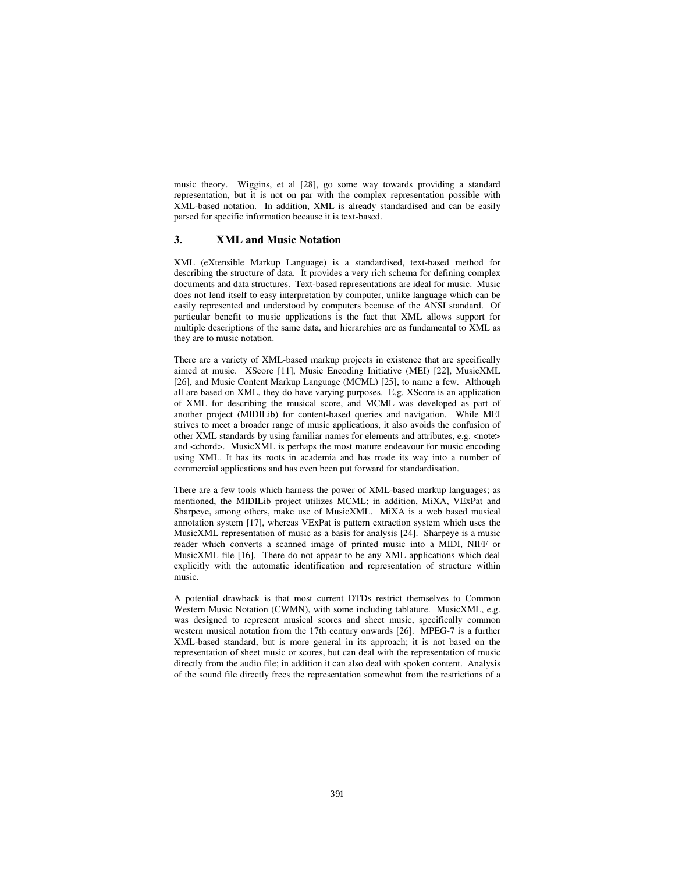music theory. Wiggins, et al [28], go some way towards providing a standard representation, but it is not on par with the complex representation possible with XML-based notation. In addition, XML is already standardised and can be easily parsed for specific information because it is text-based.

### **3. XML and Music Notation**

XML (eXtensible Markup Language) is a standardised, text-based method for describing the structure of data. It provides a very rich schema for defining complex documents and data structures. Text-based representations are ideal for music. Music does not lend itself to easy interpretation by computer, unlike language which can be easily represented and understood by computers because of the ANSI standard. Of particular benefit to music applications is the fact that XML allows support for multiple descriptions of the same data, and hierarchies are as fundamental to XML as they are to music notation.

There are a variety of XML-based markup projects in existence that are specifically aimed at music. XScore [11], Music Encoding Initiative (MEI) [22], MusicXML [26], and Music Content Markup Language (MCML) [25], to name a few. Although all are based on XML, they do have varying purposes. E.g. XScore is an application of XML for describing the musical score, and MCML was developed as part of another project (MIDILib) for content-based queries and navigation. While MEI strives to meet a broader range of music applications, it also avoids the confusion of other XML standards by using familiar names for elements and attributes, e.g. <note> and <chord>. MusicXML is perhaps the most mature endeavour for music encoding using XML. It has its roots in academia and has made its way into a number of commercial applications and has even been put forward for standardisation.

There are a few tools which harness the power of XML-based markup languages; as mentioned, the MIDILib project utilizes MCML; in addition, MiXA, VExPat and Sharpeye, among others, make use of MusicXML. MiXA is a web based musical annotation system [17], whereas VExPat is pattern extraction system which uses the MusicXML representation of music as a basis for analysis [24]. Sharpeye is a music reader which converts a scanned image of printed music into a MIDI, NIFF or MusicXML file [16]. There do not appear to be any XML applications which deal explicitly with the automatic identification and representation of structure within music.

A potential drawback is that most current DTDs restrict themselves to Common Western Music Notation (CWMN), with some including tablature. MusicXML, e.g. was designed to represent musical scores and sheet music, specifically common western musical notation from the 17th century onwards [26]. MPEG-7 is a further XML-based standard, but is more general in its approach; it is not based on the representation of sheet music or scores, but can deal with the representation of music directly from the audio file; in addition it can also deal with spoken content. Analysis of the sound file directly frees the representation somewhat from the restrictions of a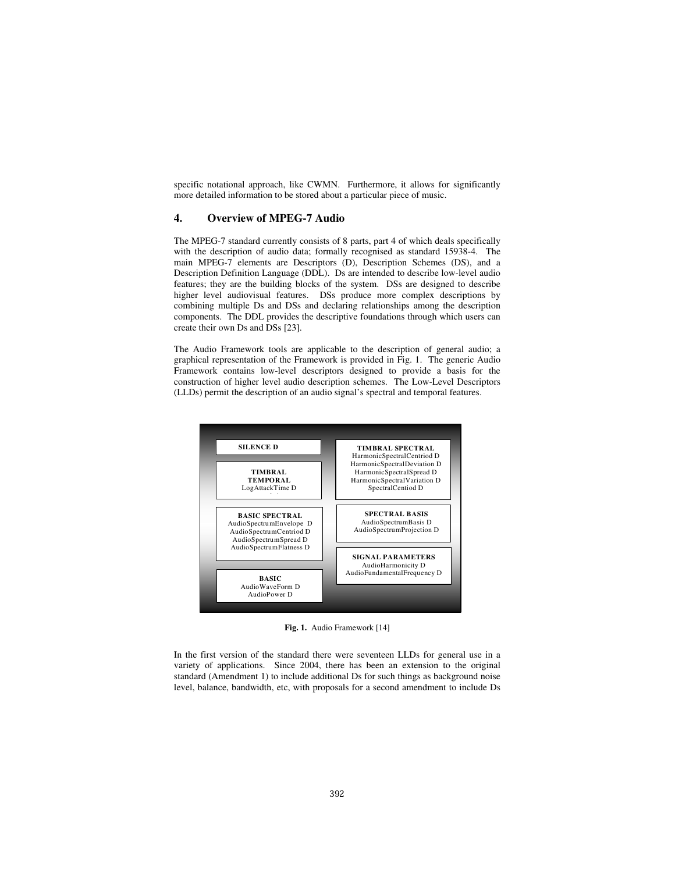specific notational approach, like CWMN. Furthermore, it allows for significantly more detailed information to be stored about a particular piece of music.

## **4. Overview of MPEG-7 Audio**

The MPEG-7 standard currently consists of 8 parts, part 4 of which deals specifically with the description of audio data; formally recognised as standard 15938-4. The main MPEG-7 elements are Descriptors (D), Description Schemes (DS), and a Description Definition Language (DDL). Ds are intended to describe low-level audio features; they are the building blocks of the system. DSs are designed to describe higher level audiovisual features. DSs produce more complex descriptions by combining multiple Ds and DSs and declaring relationships among the description components. The DDL provides the descriptive foundations through which users can create their own Ds and DSs [23].

The Audio Framework tools are applicable to the description of general audio; a graphical representation of the Framework is provided in Fig. 1. The generic Audio Framework contains low-level descriptors designed to provide a basis for the construction of higher level audio description schemes. The Low-Level Descriptors (LLDs) permit the description of an audio signal's spectral and temporal features.



**Fig. 1.** Audio Framework [14]

In the first version of the standard there were seventeen LLDs for general use in a variety of applications. Since 2004, there has been an extension to the original standard (Amendment 1) to include additional Ds for such things as background noise level, balance, bandwidth, etc, with proposals for a second amendment to include Ds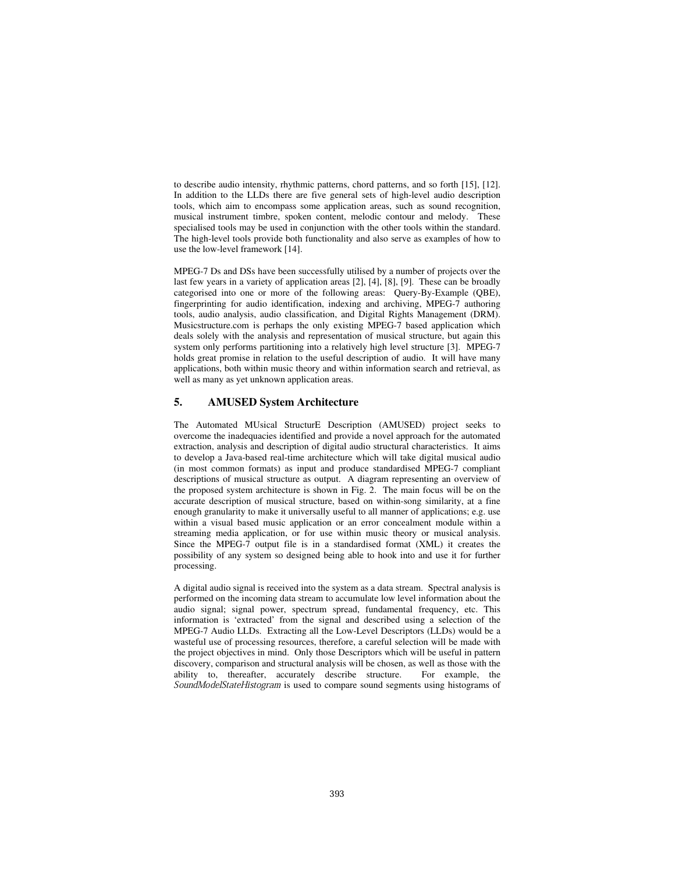to describe audio intensity, rhythmic patterns, chord patterns, and so forth [15], [12]. In addition to the LLDs there are five general sets of high-level audio description tools, which aim to encompass some application areas, such as sound recognition, musical instrument timbre, spoken content, melodic contour and melody. These specialised tools may be used in conjunction with the other tools within the standard. The high-level tools provide both functionality and also serve as examples of how to use the low-level framework [14].

MPEG-7 Ds and DSs have been successfully utilised by a number of projects over the last few years in a variety of application areas [2], [4], [8], [9]. These can be broadly categorised into one or more of the following areas: Query-By-Example (QBE), fingerprinting for audio identification, indexing and archiving, MPEG-7 authoring tools, audio analysis, audio classification, and Digital Rights Management (DRM). Musicstructure.com is perhaps the only existing MPEG-7 based application which deals solely with the analysis and representation of musical structure, but again this system only performs partitioning into a relatively high level structure [3]. MPEG-7 holds great promise in relation to the useful description of audio. It will have many applications, both within music theory and within information search and retrieval, as well as many as yet unknown application areas.

### **5. AMUSED System Architecture**

The Automated MUsical StructurE Description (AMUSED) project seeks to overcome the inadequacies identified and provide a novel approach for the automated extraction, analysis and description of digital audio structural characteristics. It aims to develop a Java-based real-time architecture which will take digital musical audio (in most common formats) as input and produce standardised MPEG-7 compliant descriptions of musical structure as output. A diagram representing an overview of the proposed system architecture is shown in Fig. 2. The main focus will be on the accurate description of musical structure, based on within-song similarity, at a fine enough granularity to make it universally useful to all manner of applications; e.g. use within a visual based music application or an error concealment module within a streaming media application, or for use within music theory or musical analysis. Since the MPEG-7 output file is in a standardised format (XML) it creates the possibility of any system so designed being able to hook into and use it for further processing.

A digital audio signal is received into the system as a data stream. Spectral analysis is performed on the incoming data stream to accumulate low level information about the audio signal; signal power, spectrum spread, fundamental frequency, etc. This information is 'extracted' from the signal and described using a selection of the MPEG-7 Audio LLDs. Extracting all the Low-Level Descriptors (LLDs) would be a wasteful use of processing resources, therefore, a careful selection will be made with the project objectives in mind. Only those Descriptors which will be useful in pattern discovery, comparison and structural analysis will be chosen, as well as those with the ability to, thereafter, accurately describe structure. For example, the SoundModelStateHistogram is used to compare sound segments using histograms of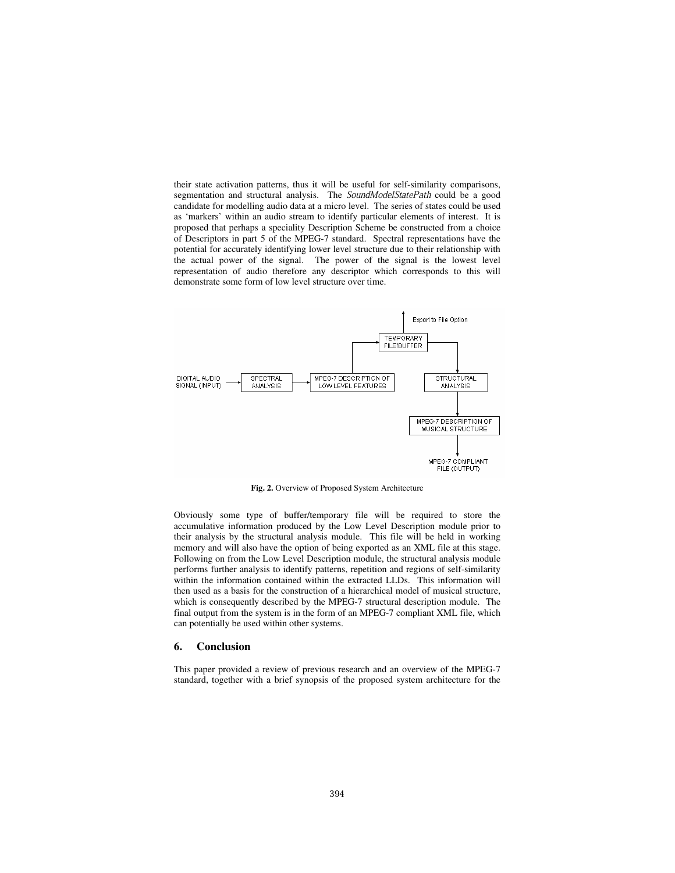their state activation patterns, thus it will be useful for self-similarity comparisons, segmentation and structural analysis. The SoundModelStatePath could be a good candidate for modelling audio data at a micro level. The series of states could be used as 'markers' within an audio stream to identify particular elements of interest. It is proposed that perhaps a speciality Description Scheme be constructed from a choice of Descriptors in part 5 of the MPEG-7 standard. Spectral representations have the potential for accurately identifying lower level structure due to their relationship with the actual power of the signal. The power of the signal is the lowest level representation of audio therefore any descriptor which corresponds to this will demonstrate some form of low level structure over time.



**Fig. 2.** Overview of Proposed System Architecture

Obviously some type of buffer/temporary file will be required to store the accumulative information produced by the Low Level Description module prior to their analysis by the structural analysis module. This file will be held in working memory and will also have the option of being exported as an XML file at this stage. Following on from the Low Level Description module, the structural analysis module performs further analysis to identify patterns, repetition and regions of self-similarity within the information contained within the extracted LLDs. This information will then used as a basis for the construction of a hierarchical model of musical structure, which is consequently described by the MPEG-7 structural description module. The final output from the system is in the form of an MPEG-7 compliant XML file, which can potentially be used within other systems.

### **6. Conclusion**

This paper provided a review of previous research and an overview of the MPEG-7 standard, together with a brief synopsis of the proposed system architecture for the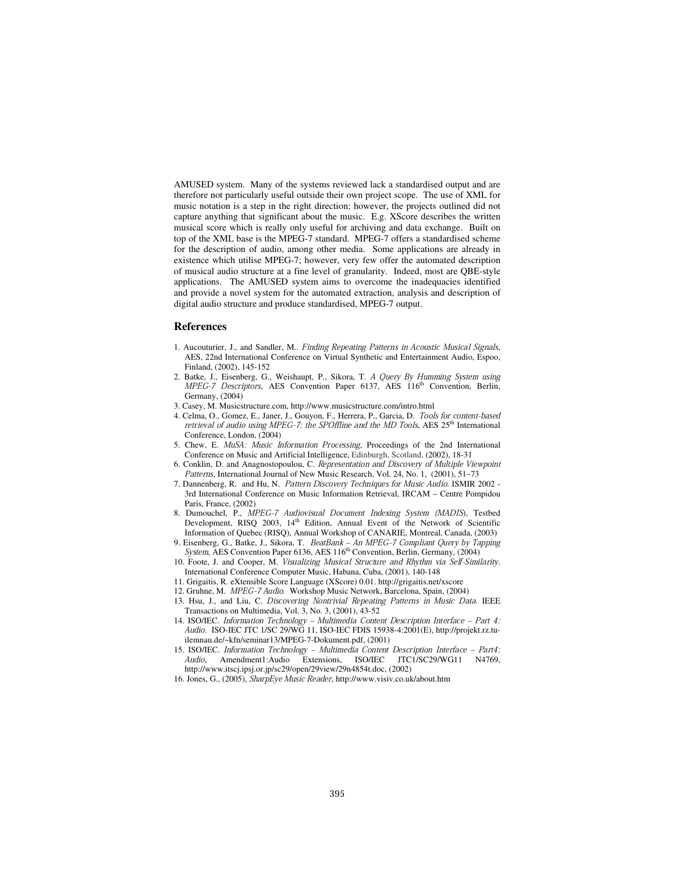AMUSED system. Many of the systems reviewed lack a standardised output and are therefore not particularly useful outside their own project scope. The use of XML for music notation is a step in the right direction; however, the projects outlined did not capture anything that significant about the music. E.g. XScore describes the written musical score which is really only useful for archiving and data exchange. Built on top of the XML base is the MPEG-7 standard. MPEG-7 offers a standardised scheme for the description of audio, among other media. Some applications are already in existence which utilise MPEG-7; however, very few offer the automated description of musical audio structure at a fine level of granularity. Indeed, most are QBE-style applications. The AMUSED system aims to overcome the inadequacies identified and provide a novel system for the automated extraction, analysis and description of digital audio structure and produce standardised, MPEG-7 output.

### **References**

- 1. Aucouturier, J., and Sandler, M.. Finding Repeating Patterns in Acoustic Musical Signals, AES, 22nd International Conference on Virtual Synthetic and Entertainment Audio, Espoo, Finland, (2002), 145-152
- 2. Batke, J., Eisenberg, G., Weishaupt, P., Sikora, T. A Query By Humming System using MPEG-7 Descriptors, AES Convention Paper 6137, AES 116<sup>th</sup> Convention, Berlin, Germany, (2004)
- 3. Casey, M. Musicstructure.com, http://www.musicstructure.com/intro.html
- 4. Celma, O., Gomez, E., Janer, J., Gouyon, F., Herrera, P., Garcia, D. Tools for content-based retrieval of audio using MPEG-7: the SPOffline and the MD Tools, AES 25<sup>th</sup> International Conference, London, (2004)
- 5. Chew, E. MuSA: Music Information Processing, Proceedings of the 2nd International Conference on Music and Artificial Intelligence, Edinburgh, Scotland, (2002), 18-31
- 6. Conklin, D. and Anagnostopoulou, C. Representation and Discovery of Multiple Viewpoint Patterns, International Journal of New Music Research, Vol. 24, No. 1, (2001), 51–73
- 7. Dannenberg, R. and Hu, N. Pattern Discovery Techniques for Music Audio. ISMIR 2002 3rd International Conference on Music Information Retrieval, IRCAM – Centre Pompidou Paris, France, (2002)
- 8. Dumouchel, P., MPEG-7 Audiovisual Document Indexing System (MADIS), Testbed Development, RISQ 2003, 14<sup>th</sup> Edition, Annual Event of the Network of Scientific Information of Quebec (RISQ), Annual Workshop of CANARIE, Montreal, Canada, (2003)
- 9. Eisenberg, G., Batke, J., Sikora, T. BeatBank An MPEG-7 Compliant Query by Tapping System, AES Convention Paper 6136, AES 116<sup>th</sup> Convention, Berlin, Germany, (2004)
- 10. Foote, J. and Cooper, M. Visualizing Musical Structure and Rhythm via Self-Similarity. International Conference Computer Music, Habana, Cuba, (2001), 140-148
- 11. Grigaitis, R. eXtensible Score Language (XScore) 0.01. http://grigaitis.net/xscore
- 12. Gruhne, M. MPEG-7 Audio. Workshop Music Network, Barcelona, Spain, (2004)
- 13. Hsu, J., and Liu, C. Discovering Nontrivial Repeating Patterns in Music Data. IEEE Transactions on Multimedia, Vol. 3, No. 3, (2001), 43-52
- 14. ISO/IEC. Information Technology Multimedia Content Description Interface Part 4: Audio. ISO-IEC JTC 1/SC 29/WG 11, ISO-IEC FDIS 15938-4:2001(E), http://projekt.rz.tuilemnau.de/~kfn/seminar13/MPEG-7-Dokument.pdf, (2001)
- 15. ISO/IEC. Information Technology Multimedia Content Description Interface Part4:<br>Audio, Amendment1:Audio Extensions, ISO/IEC JTC1/SC29/WG11 N4769, Audio, Amendment1:Audio Extensions, ISO/IEC http://www.itscj.ipsj.or.jp/sc29/open/29view/29n4854t.doc, (2002)
- 16. Jones, G., (2005), SharpEye Music Reader, http://www.visiv.co.uk/about.htm